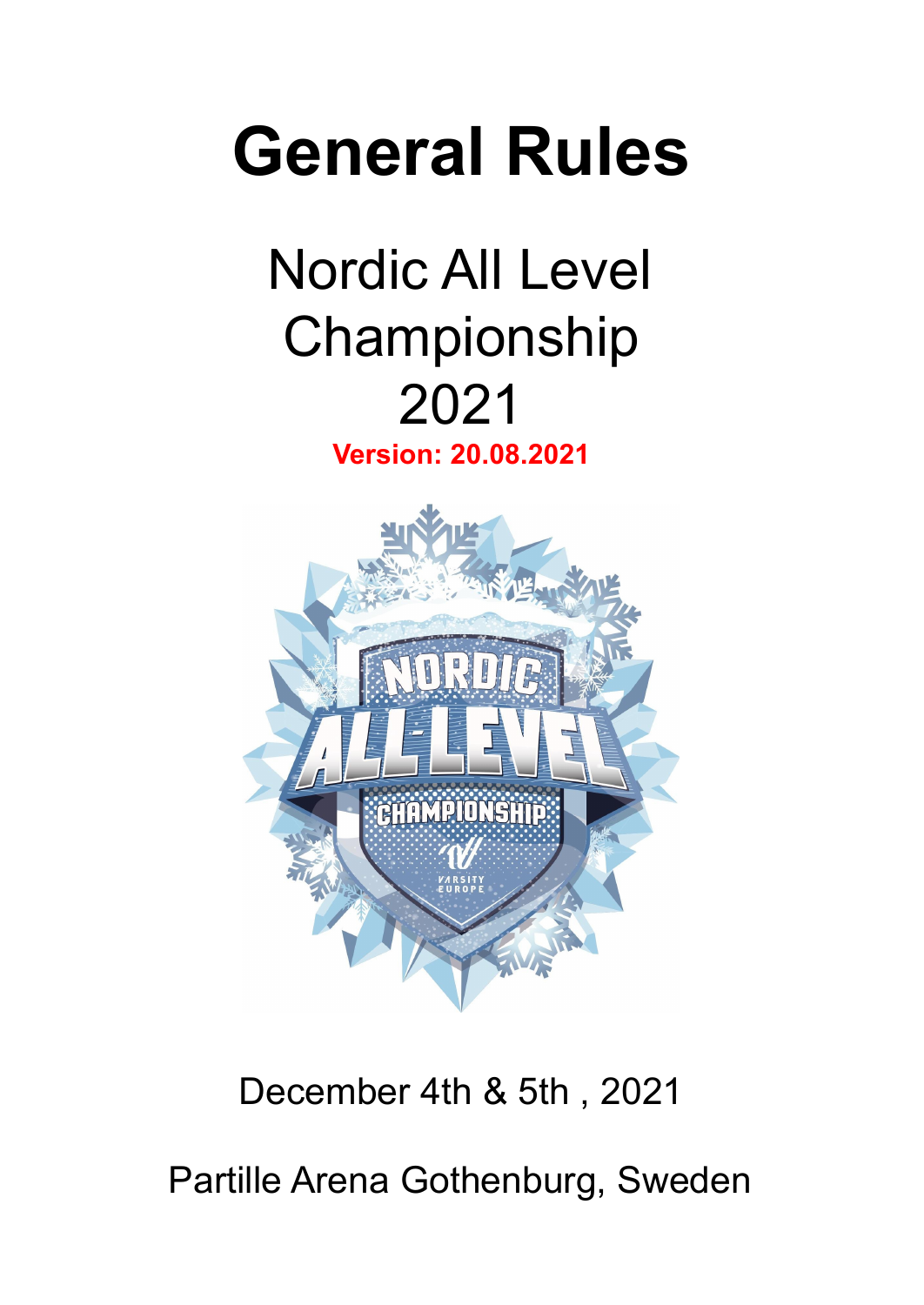# **General Rules**

## Nordic All Level Championship 2021

**Version: 20.08.2021**



### December 4th & 5th , 2021

Partille Arena Gothenburg, Sweden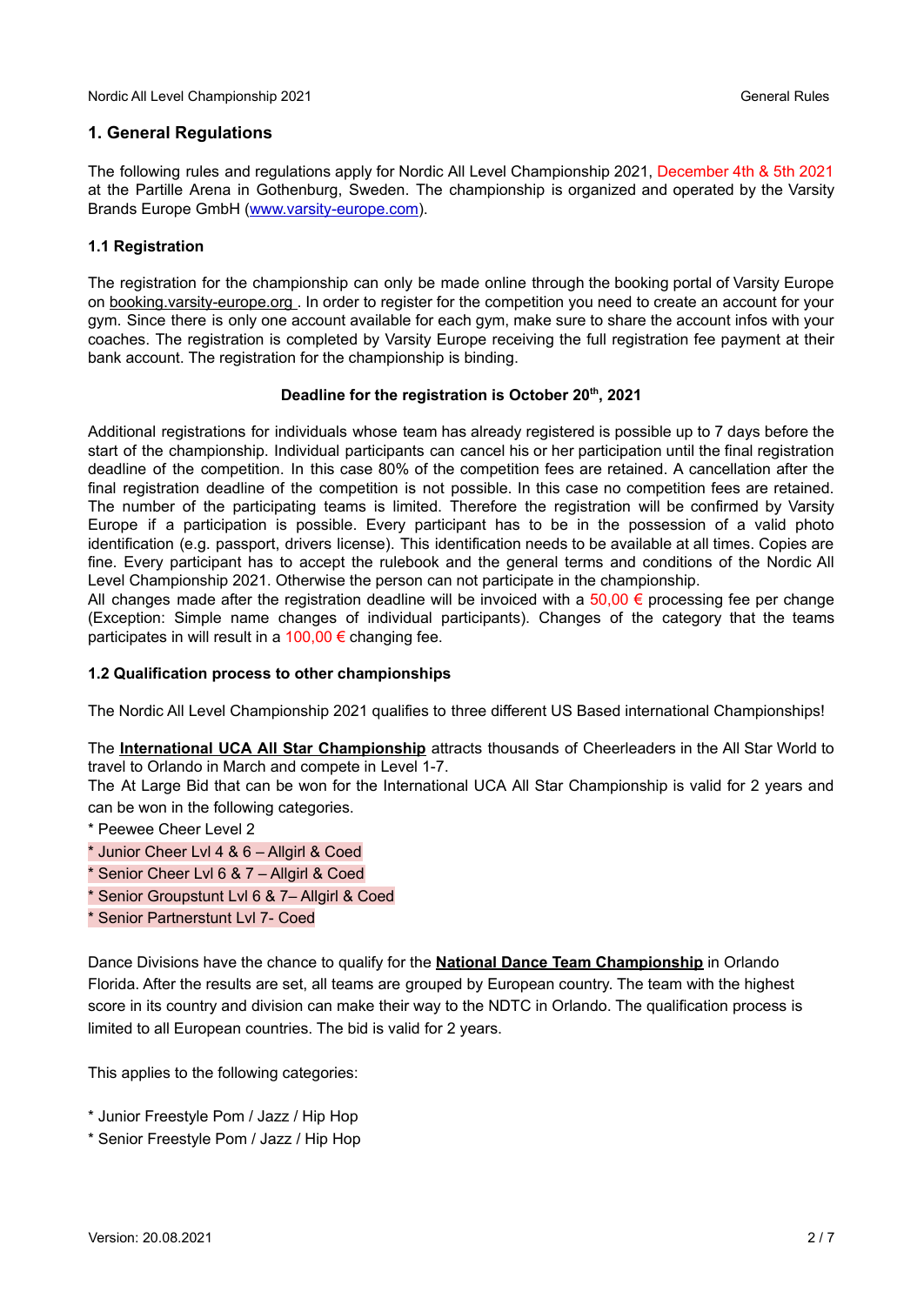#### **1. General Regulations**

The following rules and regulations apply for Nordic All Level Championship 2021, December 4th & 5th 2021 at the Partille Arena in Gothenburg, Sweden. The championship is organized and operated by the Varsity Brands Europe GmbH (www.varsity-europe.com).

#### **1.1 Registration**

The registration for the championship can only be made online through the booking portal of Varsity Europe on booking.varsity-europe.org . In order to register for the competition you need to create an account for your gym. Since there is only one account available for each gym, make sure to share the account infos with your coaches. The registration is completed by Varsity Europe receiving the full registration fee payment at their bank account. The registration for the championship is binding.

#### **Deadline for the registration is October 20 th , 2021**

Additional registrations for individuals whose team has already registered is possible up to 7 days before the start of the championship. Individual participants can cancel his or her participation until the final registration deadline of the competition. In this case 80% of the competition fees are retained. A cancellation after the final registration deadline of the competition is not possible. In this case no competition fees are retained. The number of the participating teams is limited. Therefore the registration will be confirmed by Varsity Europe if a participation is possible. Every participant has to be in the possession of a valid photo identification (e.g. passport, drivers license). This identification needs to be available at all times. Copies are fine. Every participant has to accept the rulebook and the general terms and conditions of the Nordic All Level Championship 2021. Otherwise the person can not participate in the championship.

All changes made after the registration deadline will be invoiced with a  $50,00 \in \mathfrak{p}$  processing fee per change (Exception: Simple name changes of individual participants). Changes of the category that the teams participates in will result in a  $100,00 \in \mathbb{C}$  changing fee.

#### **1.2 Qualification process to other championships**

The Nordic All Level Championship 2021 qualifies to three different US Based international Championships!

The **International UCA All Star Championship** attracts thousands of Cheerleaders in the All Star World to travel to Orlando in March and compete in Level 1-7.

The At Large Bid that can be won for the International UCA All Star Championship is valid for 2 years and can be won in the following categories.

- \* Peewee Cheer Level 2
- \* Junior Cheer Lvl 4 & 6 Allgirl & Coed
- \* Senior Cheer Lvl 6 & 7 Allgirl & Coed
- Senior Groupstunt Lvl 6 & 7– Allgirl & Coed
- \* Senior Partnerstunt Lvl 7- Coed

Dance Divisions have the chance to qualify for the **National Dance Team Championship** in Orlando Florida. After the results are set, all teams are grouped by European country. The team with the highest score in its country and division can make their way to the NDTC in Orlando. The qualification process is limited to all European countries. The bid is valid for 2 years.

This applies to the following categories:

- \* Junior Freestyle Pom / Jazz / Hip Hop
- \* Senior Freestyle Pom / Jazz / Hip Hop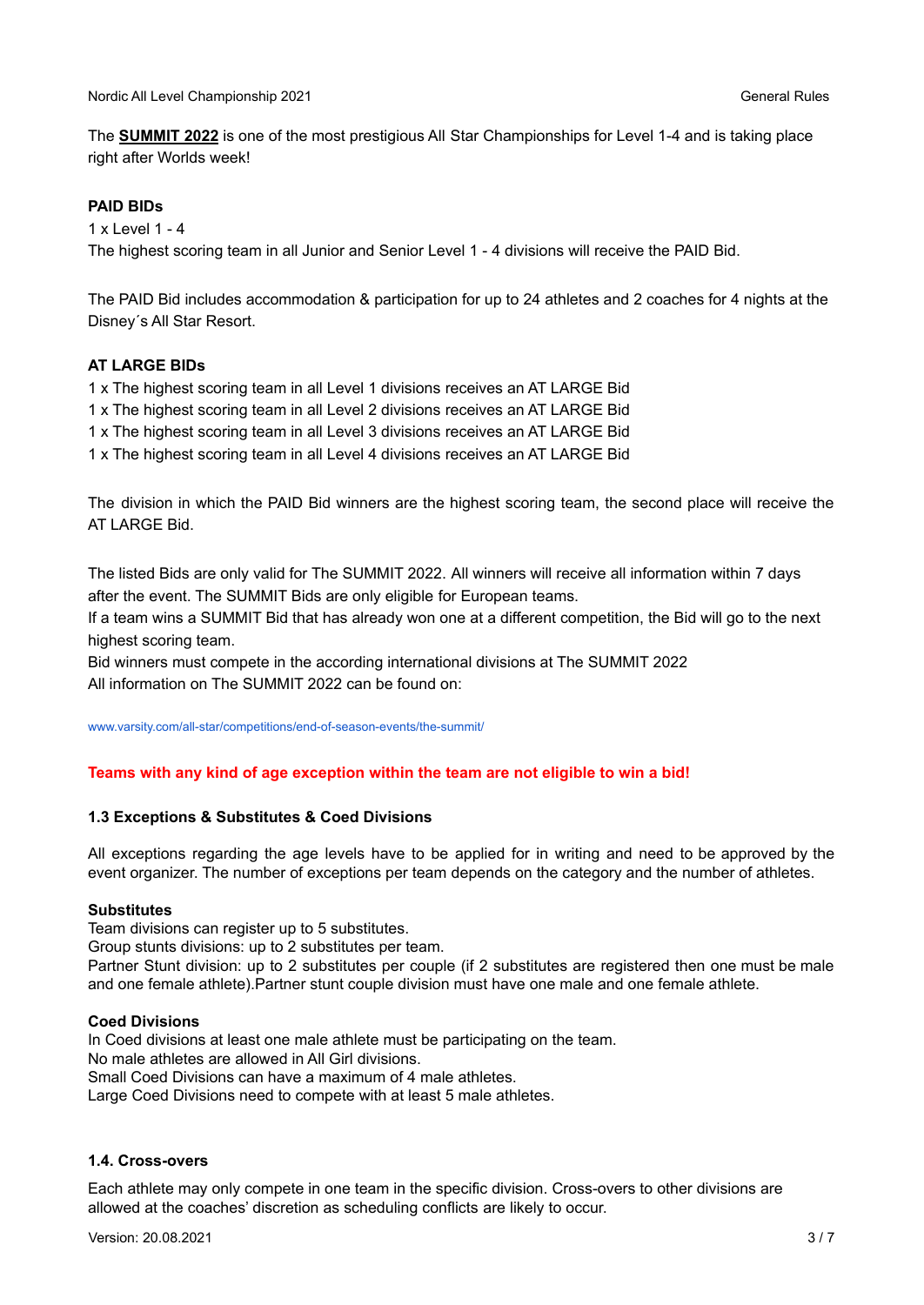The **SUMMIT 2022** is one of the most prestigious All Star Championships for Level 1-4 and is taking place right after Worlds week!

#### **PAID BIDs**

1 x Level 1 - 4

The highest scoring team in all Junior and Senior Level 1 - 4 divisions will receive the PAID Bid.

The PAID Bid includes accommodation & participation for up to 24 athletes and 2 coaches for 4 nights at the Disney´s All Star Resort.

#### **AT LARGE BIDs**

1 x The highest scoring team in all Level 1 divisions receives an AT LARGE Bid

1 x The highest scoring team in all Level 2 divisions receives an AT LARGE Bid

1 x The highest scoring team in all Level 3 divisions receives an AT LARGE Bid

1 x The highest scoring team in all Level 4 divisions receives an AT LARGE Bid

The division in which the PAID Bid winners are the highest scoring team, the second place will receive the AT LARGE Bid.

The listed Bids are only valid for The SUMMIT 2022. All winners will receive all information within 7 days after the event. The SUMMIT Bids are only eligible for European teams.

If a team wins a SUMMIT Bid that has already won one at a different competition, the Bid will go to the next highest scoring team.

Bid winners must compete in the according international divisions at The SUMMIT 2022 All information on The SUMMIT 2022 can be found on:

[www.varsity.com/all-star/competitions/end-of-season-events/the-summit/](https://www.varsity.com/all-star/competitions/end-of-season-events/the-summit/)

#### **Teams with any kind of age exception within the team are not eligible to win a bid!**

#### **1.3 Exceptions & Substitutes & Coed Divisions**

All exceptions regarding the age levels have to be applied for in writing and need to be approved by the event organizer. The number of exceptions per team depends on the category and the number of athletes.

#### **Substitutes**

Team divisions can register up to 5 substitutes.

Group stunts divisions: up to 2 substitutes per team.

Partner Stunt division: up to 2 substitutes per couple (if 2 substitutes are registered then one must be male and one female athlete).Partner stunt couple division must have one male and one female athlete.

#### **Coed Divisions**

In Coed divisions at least one male athlete must be participating on the team.

No male athletes are allowed in All Girl divisions.

Small Coed Divisions can have a maximum of 4 male athletes.

Large Coed Divisions need to compete with at least 5 male athletes.

#### **1.4. Cross-overs**

Each athlete may only compete in one team in the specific division. Cross-overs to other divisions are allowed at the coaches' discretion as scheduling conflicts are likely to occur.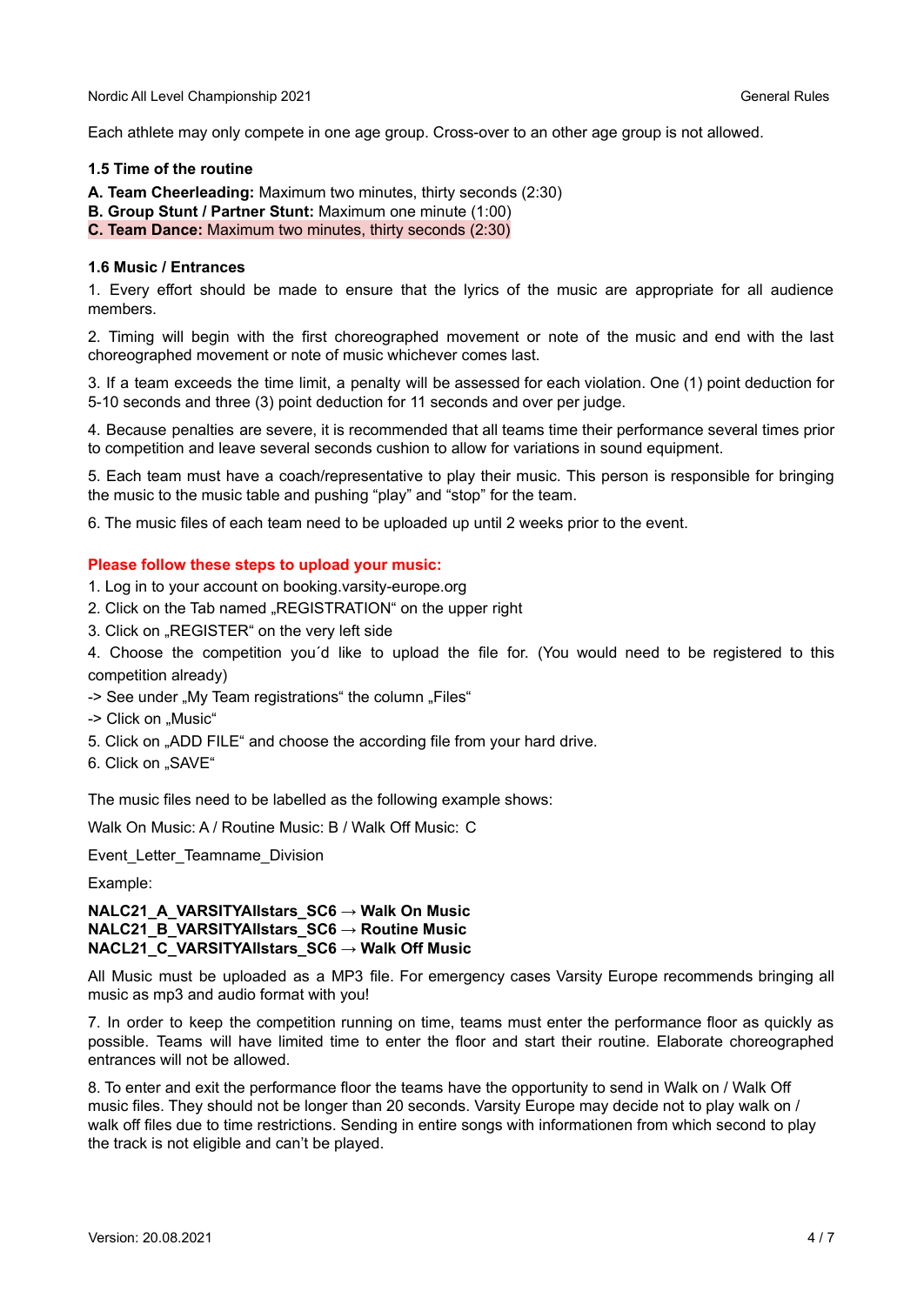Each athlete may only compete in one age group. Cross-over to an other age group is not allowed.

#### **1.5 Time of the routine**

**A. Team Cheerleading:** Maximum two minutes, thirty seconds (2:30)

**B. Group Stunt / Partner Stunt:** Maximum one minute (1:00)

**C. Team Dance:** Maximum two minutes, thirty seconds (2:30)

#### **1.6 Music / Entrances**

1. Every effort should be made to ensure that the lyrics of the music are appropriate for all audience members.

2. Timing will begin with the first choreographed movement or note of the music and end with the last choreographed movement or note of music whichever comes last.

3. If a team exceeds the time limit, a penalty will be assessed for each violation. One (1) point deduction for 5-10 seconds and three (3) point deduction for 11 seconds and over per judge.

4. Because penalties are severe, it is recommended that all teams time their performance several times prior to competition and leave several seconds cushion to allow for variations in sound equipment.

5. Each team must have a coach/representative to play their music. This person is responsible for bringing the music to the music table and pushing "play" and "stop" for the team.

6. The music files of each team need to be uploaded up until 2 weeks prior to the event.

#### **Please follow these steps to upload your music:**

- 1. Log in to your account on booking.varsity-europe.org
- 2. Click on the Tab named "REGISTRATION" on the upper right
- 3. Click on "REGISTER" on the very left side

4. Choose the competition you´d like to upload the file for. (You would need to be registered to this competition already)

- -> See under "My Team registrations" the column "Files"
- -> Click on "Music"
- 5. Click on "ADD FILE" and choose the according file from your hard drive.
- 6. Click on "SAVE"

The music files need to be labelled as the following example shows:

Walk On Music: A / Routine Music: B / Walk Off Music: C

Event\_Letter\_Teamname\_Division

Example:

#### **NALC21\_A\_VARSITYAllstars\_SC6 → Walk On Music NALC21\_B\_VARSITYAllstars\_SC6 → Routine Music NACL21\_C\_VARSITYAllstars\_SC6 → Walk Off Music**

All Music must be uploaded as a MP3 file. For emergency cases Varsity Europe recommends bringing all music as mp3 and audio format with you!

7. In order to keep the competition running on time, teams must enter the performance floor as quickly as possible. Teams will have limited time to enter the floor and start their routine. Elaborate choreographed entrances will not be allowed.

8. To enter and exit the performance floor the teams have the opportunity to send in Walk on / Walk Off music files. They should not be longer than 20 seconds. Varsity Europe may decide not to play walk on / walk off files due to time restrictions. Sending in entire songs with informationen from which second to play the track is not eligible and can't be played.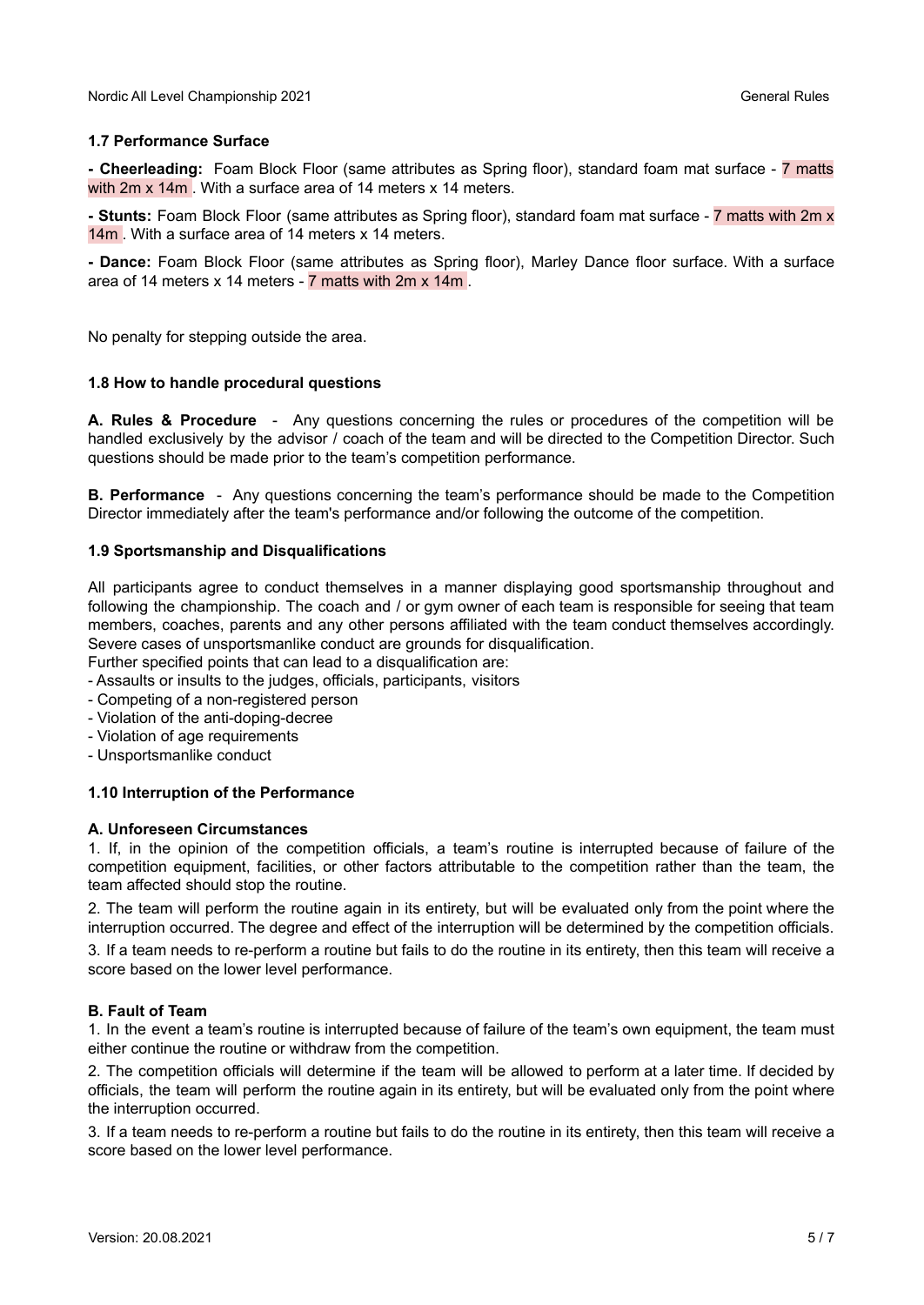#### **1.7 Performance Surface**

**- Cheerleading:** Foam Block Floor (same attributes as Spring floor), standard foam mat surface - 7 matts with 2m x 14m. With a surface area of 14 meters x 14 meters.

**- Stunts:** Foam Block Floor (same attributes as Spring floor), standard foam mat surface - 7 matts with 2m x 14m . With a surface area of 14 meters x 14 meters.

**- Dance:** Foam Block Floor (same attributes as Spring floor), Marley Dance floor surface. With a surface area of 14 meters x 14 meters - 7 matts with 2m x 14m .

No penalty for stepping outside the area.

#### **1.8 How to handle procedural questions**

**A. Rules & Procedure** - Any questions concerning the rules or procedures of the competition will be handled exclusively by the advisor / coach of the team and will be directed to the Competition Director. Such questions should be made prior to the team's competition performance.

**B. Performance** - Any questions concerning the team's performance should be made to the Competition Director immediately after the team's performance and/or following the outcome of the competition.

#### **1.9 Sportsmanship and Disqualifications**

All participants agree to conduct themselves in a manner displaying good sportsmanship throughout and following the championship. The coach and / or gym owner of each team is responsible for seeing that team members, coaches, parents and any other persons affiliated with the team conduct themselves accordingly. Severe cases of unsportsmanlike conduct are grounds for disqualification.

Further specified points that can lead to a disqualification are:

- Assaults or insults to the judges, officials, participants, visitors
- Competing of a non-registered person
- Violation of the anti-doping-decree
- Violation of age requirements
- Unsportsmanlike conduct

#### **1.10 Interruption of the Performance**

#### **A. Unforeseen Circumstances**

1. If, in the opinion of the competition officials, a team's routine is interrupted because of failure of the competition equipment, facilities, or other factors attributable to the competition rather than the team, the team affected should stop the routine.

2. The team will perform the routine again in its entirety, but will be evaluated only from the point where the interruption occurred. The degree and effect of the interruption will be determined by the competition officials.

3. If a team needs to re-perform a routine but fails to do the routine in its entirety, then this team will receive a score based on the lower level performance.

#### **B. Fault of Team**

1. In the event a team's routine is interrupted because of failure of the team's own equipment, the team must either continue the routine or withdraw from the competition.

2. The competition officials will determine if the team will be allowed to perform at a later time. If decided by officials, the team will perform the routine again in its entirety, but will be evaluated only from the point where the interruption occurred.

3. If a team needs to re-perform a routine but fails to do the routine in its entirety, then this team will receive a score based on the lower level performance.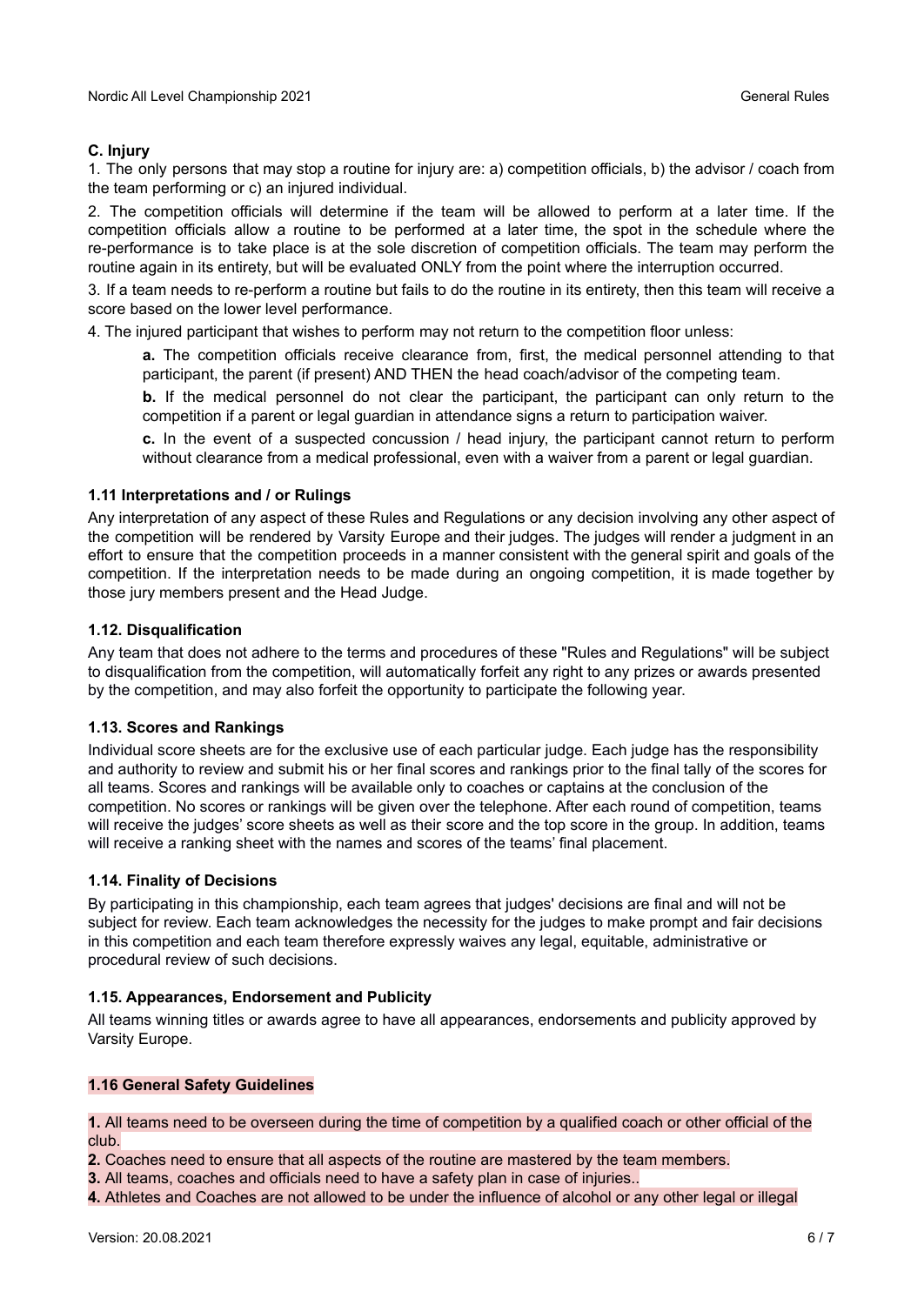#### **C. Injury**

1. The only persons that may stop a routine for injury are: a) competition officials, b) the advisor / coach from the team performing or c) an injured individual.

2. The competition officials will determine if the team will be allowed to perform at a later time. If the competition officials allow a routine to be performed at a later time, the spot in the schedule where the re-performance is to take place is at the sole discretion of competition officials. The team may perform the routine again in its entirety, but will be evaluated ONLY from the point where the interruption occurred.

3. If a team needs to re-perform a routine but fails to do the routine in its entirety, then this team will receive a score based on the lower level performance.

4. The injured participant that wishes to perform may not return to the competition floor unless:

**a.** The competition officials receive clearance from, first, the medical personnel attending to that participant, the parent (if present) AND THEN the head coach/advisor of the competing team.

**b.** If the medical personnel do not clear the participant, the participant can only return to the competition if a parent or legal guardian in attendance signs a return to participation waiver.

**c.** In the event of a suspected concussion / head injury, the participant cannot return to perform without clearance from a medical professional, even with a waiver from a parent or legal guardian.

#### **1.11 Interpretations and / or Rulings**

Any interpretation of any aspect of these Rules and Regulations or any decision involving any other aspect of the competition will be rendered by Varsity Europe and their judges. The judges will render a judgment in an effort to ensure that the competition proceeds in a manner consistent with the general spirit and goals of the competition. If the interpretation needs to be made during an ongoing competition, it is made together by those jury members present and the Head Judge.

#### **1.12. Disqualification**

Any team that does not adhere to the terms and procedures of these "Rules and Regulations" will be subject to disqualification from the competition, will automatically forfeit any right to any prizes or awards presented by the competition, and may also forfeit the opportunity to participate the following year.

#### **1.13. Scores and Rankings**

Individual score sheets are for the exclusive use of each particular judge. Each judge has the responsibility and authority to review and submit his or her final scores and rankings prior to the final tally of the scores for all teams. Scores and rankings will be available only to coaches or captains at the conclusion of the competition. No scores or rankings will be given over the telephone. After each round of competition, teams will receive the judges' score sheets as well as their score and the top score in the group. In addition, teams will receive a ranking sheet with the names and scores of the teams' final placement.

#### **1.14. Finality of Decisions**

By participating in this championship, each team agrees that judges' decisions are final and will not be subject for review. Each team acknowledges the necessity for the judges to make prompt and fair decisions in this competition and each team therefore expressly waives any legal, equitable, administrative or procedural review of such decisions.

#### **1.15. Appearances, Endorsement and Publicity**

All teams winning titles or awards agree to have all appearances, endorsements and publicity approved by Varsity Europe.

#### **1.16 General Safety Guidelines**

**1.** All teams need to be overseen during the time of competition by a qualified coach or other official of the club.

**2.** Coaches need to ensure that all aspects of the routine are mastered by the team members.

**3.** All teams, coaches and officials need to have a safety plan in case of injuries..

**4.** Athletes and Coaches are not allowed to be under the influence of alcohol or any other legal or illegal